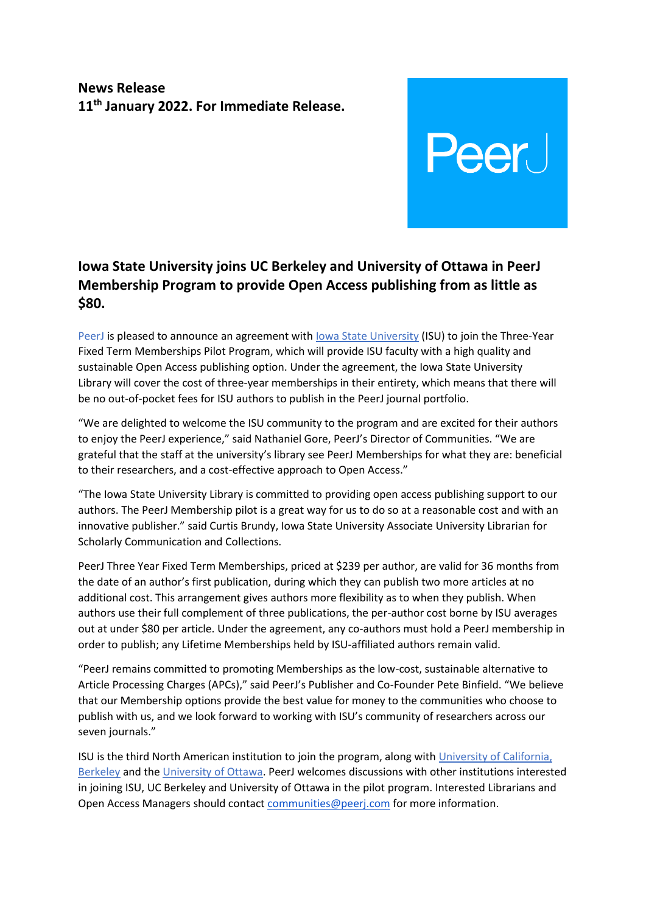## **News Release 11th January 2022. For Immediate Release.**

## **Iowa State University joins UC Berkeley and University of Ottawa in PeerJ Membership Program to provide Open Access publishing from as little as \$80.**

**Peer** 

PeerJ is pleased to announce an agreement with [Iowa State University](https://www.iastate.edu/) (ISU) to join the Three-Year Fixed Term Memberships Pilot Program, which will provide ISU faculty with a high quality and sustainable Open Access publishing option. Under the agreement, the Iowa State University Library will cover the cost of three-year memberships in their entirety, which means that there will be no out-of-pocket fees for ISU authors to publish in the PeerJ journal portfolio.

"We are delighted to welcome the ISU community to the program and are excited for their authors to enjoy the PeerJ experience," said Nathaniel Gore, PeerJ's Director of Communities. "We are grateful that the staff at the university's library see PeerJ Memberships for what they are: beneficial to their researchers, and a cost-effective approach to Open Access."

"The Iowa State University Library is committed to providing open access publishing support to our authors. The PeerJ Membership pilot is a great way for us to do so at a reasonable cost and with an innovative publisher." said Curtis Brundy, Iowa State University Associate University Librarian for Scholarly Communication and Collections.

PeerJ Three Year Fixed Term Memberships, priced at \$239 per author, are valid for 36 months from the date of an author's first publication, during which they can publish two more articles at no additional cost. This arrangement gives authors more flexibility as to when they publish. When authors use their full complement of three publications, the per-author cost borne by ISU averages out at under \$80 per article. Under the agreement, any co-authors must hold a PeerJ membership in order to publish; any Lifetime Memberships held by ISU-affiliated authors remain valid.

"PeerJ remains committed to promoting Memberships as the low-cost, sustainable alternative to Article Processing Charges (APCs)," said PeerJ's Publisher and Co-Founder Pete Binfield. "We believe that our Membership options provide the best value for money to the communities who choose to publish with us, and we look forward to working with ISU's community of researchers across our seven journals."

ISU is the third North American institution to join the program, along with [University of California,](https://peerj.com/blog/post/115284884263/uc-berkeley-join-membership-program/)  [Berkeley](https://peerj.com/blog/post/115284884263/uc-berkeley-join-membership-program/) and the [University of Ottawa.](https://peerj.com/blog/post/115284883829/university-of-ottawa-signs-agreement-with-peerj-for-innovative-new-approach-to-membership-funded-open-access/) PeerJ welcomes discussions with other institutions interested in joining ISU, UC Berkeley and University of Ottawa in the pilot program. Interested Librarians and Open Access Managers should contact [communities@peerj.com](mailto:communities@peerj.com) for more information.